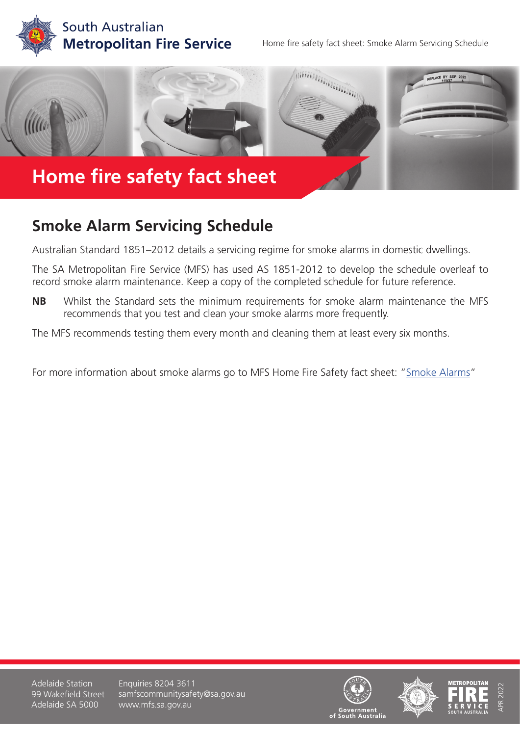

Home fire safety fact sheet: Smoke Alarm Servicing Schedule



## **Smoke Alarm Servicing Schedule**

Australian Standard 1851–2012 details a servicing regime for smoke alarms in domestic dwellings.

The SA Metropolitan Fire Service (MFS) has used AS 1851-2012 to develop the schedule overleaf to record smoke alarm maintenance. Keep a copy of the completed schedule for future reference.

**NB** Whilst the Standard sets the minimum requirements for smoke alarm maintenance the MFS recommends that you test and clean your smoke alarms more frequently.

The MFS recommends testing them every month and cleaning them at least every six months.

For more information about smoke alarms go to MFS Home Fire Safety fact sheet: ["Smoke Alarms](https://www.mfs.sa.gov.au/community/safety-and-education/fact-sheets-and-brochures/fact-sheet-pages/smoke-alarms)"

Adelaide Station 99 Wakefield Street Adelaide SA 5000

Enquiries 8204 3611 samfscommunitysafety@sa.gov.au www.mfs.sa.gov.au







APR 2022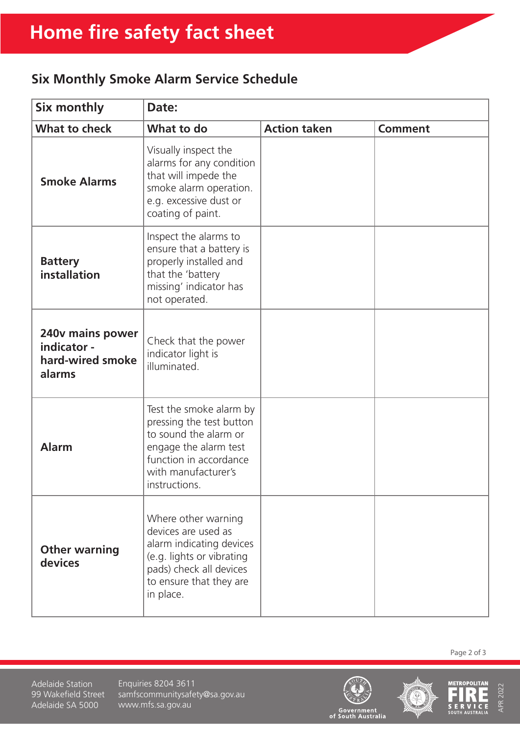## **Six Monthly Smoke Alarm Service Schedule**

| Six monthly                                                   | Date:                                                                                                                                                                   |                     |                |
|---------------------------------------------------------------|-------------------------------------------------------------------------------------------------------------------------------------------------------------------------|---------------------|----------------|
| <b>What to check</b>                                          | What to do                                                                                                                                                              | <b>Action taken</b> | <b>Comment</b> |
| <b>Smoke Alarms</b>                                           | Visually inspect the<br>alarms for any condition<br>that will impede the<br>smoke alarm operation.<br>e.g. excessive dust or<br>coating of paint.                       |                     |                |
| <b>Battery</b><br>installation                                | Inspect the alarms to<br>ensure that a battery is<br>properly installed and<br>that the 'battery<br>missing' indicator has<br>not operated.                             |                     |                |
| 240v mains power<br>indicator -<br>hard-wired smoke<br>alarms | Check that the power<br>indicator light is<br>illuminated.                                                                                                              |                     |                |
| <b>Alarm</b>                                                  | Test the smoke alarm by<br>pressing the test button<br>to sound the alarm or<br>engage the alarm test<br>function in accordance<br>with manufacturer's<br>instructions. |                     |                |
| <b>Other warning</b><br>devices                               | Where other warning<br>devices are used as<br>alarm indicating devices<br>(e.g. lights or vibrating<br>pads) check all devices<br>to ensure that they are<br>in place.  |                     |                |

Page 2 of 3

Adelaide Station 99 Wakefield Street Adelaide SA 5000

Enquiries 8204 3611 samfscommunitysafety@sa.gov.au www.mfs.sa.gov.au







APR 2022

**APR 2022**